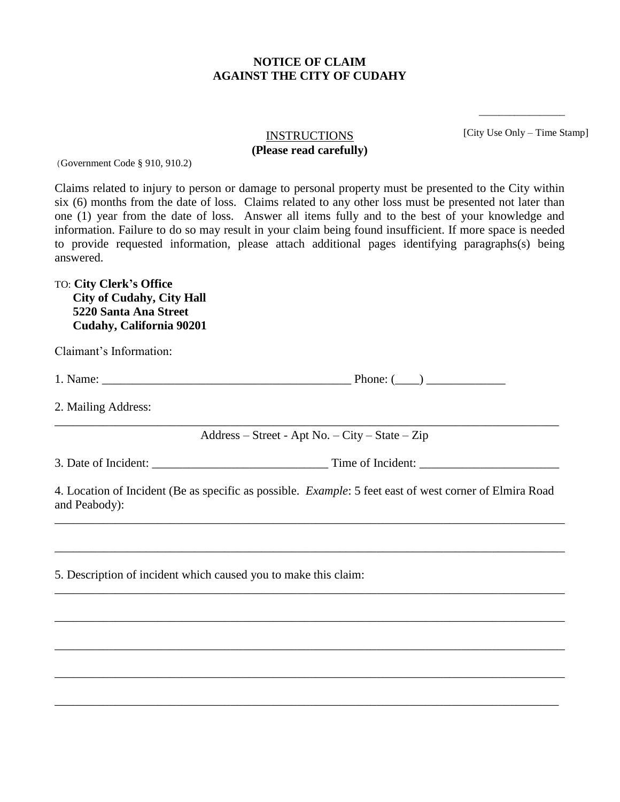## **NOTICE OF CLAIM AGAINST THE CITY OF CUDAHY**

[City Use Only – Time Stamp]

\_\_\_\_\_\_\_\_\_\_\_\_\_\_\_\_\_

## **INSTRUCTIONS (Please read carefully)**

(Government Code § 910, 910.2)

Claims related to injury to person or damage to personal property must be presented to the City within six (6) months from the date of loss. Claims related to any other loss must be presented not later than one (1) year from the date of loss. Answer all items fully and to the best of your knowledge and information. Failure to do so may result in your claim being found insufficient. If more space is needed to provide requested information, please attach additional pages identifying paragraphs(s) being answered.

TO: **City Clerk's Office City of Cudahy, City Hall 5220 Santa Ana Street Cudahy, California 90201**

| Claimant's Information:                                         |                                                                                                                                                                                              |
|-----------------------------------------------------------------|----------------------------------------------------------------------------------------------------------------------------------------------------------------------------------------------|
|                                                                 |                                                                                                                                                                                              |
| 2. Mailing Address:                                             |                                                                                                                                                                                              |
|                                                                 | Address – Street - Apt No. – City – State – Zip                                                                                                                                              |
|                                                                 |                                                                                                                                                                                              |
| and Peabody):                                                   | 4. Location of Incident (Be as specific as possible. Example: 5 feet east of west corner of Elmira Road<br>,我们也不能在这里的时候,我们也不能在这里的时候,我们也不能不能不能不能不能不能不能不能不能不能不能不能不能不能不能。""我们的是,我们也不能不能不能不能不能不能 |
|                                                                 |                                                                                                                                                                                              |
| 5. Description of incident which caused you to make this claim: |                                                                                                                                                                                              |
|                                                                 |                                                                                                                                                                                              |
|                                                                 |                                                                                                                                                                                              |
|                                                                 |                                                                                                                                                                                              |
|                                                                 |                                                                                                                                                                                              |

\_\_\_\_\_\_\_\_\_\_\_\_\_\_\_\_\_\_\_\_\_\_\_\_\_\_\_\_\_\_\_\_\_\_\_\_\_\_\_\_\_\_\_\_\_\_\_\_\_\_\_\_\_\_\_\_\_\_\_\_\_\_\_\_\_\_\_\_\_\_\_\_\_\_\_\_\_\_\_\_\_\_\_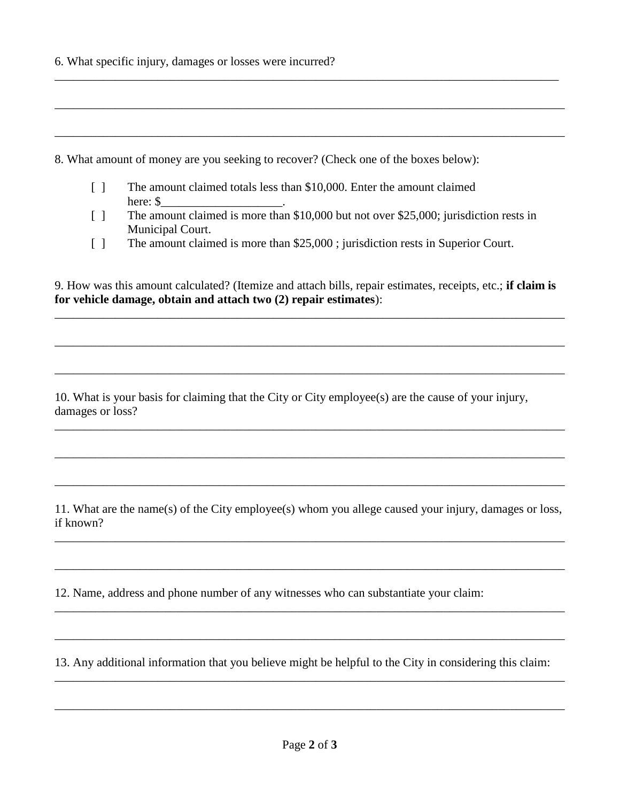6. What specific injury, damages or losses were incurred?

8. What amount of money are you seeking to recover? (Check one of the boxes below):

- [ ] The amount claimed totals less than \$10,000. Enter the amount claimed here: \$
- [ ] The amount claimed is more than \$10,000 but not over \$25,000; jurisdiction rests in Municipal Court.

\_\_\_\_\_\_\_\_\_\_\_\_\_\_\_\_\_\_\_\_\_\_\_\_\_\_\_\_\_\_\_\_\_\_\_\_\_\_\_\_\_\_\_\_\_\_\_\_\_\_\_\_\_\_\_\_\_\_\_\_\_\_\_\_\_\_\_\_\_\_\_\_\_\_\_\_\_\_\_\_\_\_\_

\_\_\_\_\_\_\_\_\_\_\_\_\_\_\_\_\_\_\_\_\_\_\_\_\_\_\_\_\_\_\_\_\_\_\_\_\_\_\_\_\_\_\_\_\_\_\_\_\_\_\_\_\_\_\_\_\_\_\_\_\_\_\_\_\_\_\_\_\_\_\_\_\_\_\_\_\_\_\_\_\_\_\_\_

\_\_\_\_\_\_\_\_\_\_\_\_\_\_\_\_\_\_\_\_\_\_\_\_\_\_\_\_\_\_\_\_\_\_\_\_\_\_\_\_\_\_\_\_\_\_\_\_\_\_\_\_\_\_\_\_\_\_\_\_\_\_\_\_\_\_\_\_\_\_\_\_\_\_\_\_\_\_\_\_\_\_\_\_

[ ] The amount claimed is more than \$25,000 ; jurisdiction rests in Superior Court.

9. How was this amount calculated? (Itemize and attach bills, repair estimates, receipts, etc.; **if claim is for vehicle damage, obtain and attach two (2) repair estimates**):

\_\_\_\_\_\_\_\_\_\_\_\_\_\_\_\_\_\_\_\_\_\_\_\_\_\_\_\_\_\_\_\_\_\_\_\_\_\_\_\_\_\_\_\_\_\_\_\_\_\_\_\_\_\_\_\_\_\_\_\_\_\_\_\_\_\_\_\_\_\_\_\_\_\_\_\_\_\_\_\_\_\_\_\_

\_\_\_\_\_\_\_\_\_\_\_\_\_\_\_\_\_\_\_\_\_\_\_\_\_\_\_\_\_\_\_\_\_\_\_\_\_\_\_\_\_\_\_\_\_\_\_\_\_\_\_\_\_\_\_\_\_\_\_\_\_\_\_\_\_\_\_\_\_\_\_\_\_\_\_\_\_\_\_\_\_\_\_\_

\_\_\_\_\_\_\_\_\_\_\_\_\_\_\_\_\_\_\_\_\_\_\_\_\_\_\_\_\_\_\_\_\_\_\_\_\_\_\_\_\_\_\_\_\_\_\_\_\_\_\_\_\_\_\_\_\_\_\_\_\_\_\_\_\_\_\_\_\_\_\_\_\_\_\_\_\_\_\_\_\_\_\_\_

\_\_\_\_\_\_\_\_\_\_\_\_\_\_\_\_\_\_\_\_\_\_\_\_\_\_\_\_\_\_\_\_\_\_\_\_\_\_\_\_\_\_\_\_\_\_\_\_\_\_\_\_\_\_\_\_\_\_\_\_\_\_\_\_\_\_\_\_\_\_\_\_\_\_\_\_\_\_\_\_\_\_\_\_

\_\_\_\_\_\_\_\_\_\_\_\_\_\_\_\_\_\_\_\_\_\_\_\_\_\_\_\_\_\_\_\_\_\_\_\_\_\_\_\_\_\_\_\_\_\_\_\_\_\_\_\_\_\_\_\_\_\_\_\_\_\_\_\_\_\_\_\_\_\_\_\_\_\_\_\_\_\_\_\_\_\_\_\_

\_\_\_\_\_\_\_\_\_\_\_\_\_\_\_\_\_\_\_\_\_\_\_\_\_\_\_\_\_\_\_\_\_\_\_\_\_\_\_\_\_\_\_\_\_\_\_\_\_\_\_\_\_\_\_\_\_\_\_\_\_\_\_\_\_\_\_\_\_\_\_\_\_\_\_\_\_\_\_\_\_\_\_\_

10. What is your basis for claiming that the City or City employee(s) are the cause of your injury, damages or loss?

11. What are the name(s) of the City employee(s) whom you allege caused your injury, damages or loss, if known?

\_\_\_\_\_\_\_\_\_\_\_\_\_\_\_\_\_\_\_\_\_\_\_\_\_\_\_\_\_\_\_\_\_\_\_\_\_\_\_\_\_\_\_\_\_\_\_\_\_\_\_\_\_\_\_\_\_\_\_\_\_\_\_\_\_\_\_\_\_\_\_\_\_\_\_\_\_\_\_\_\_\_\_\_

\_\_\_\_\_\_\_\_\_\_\_\_\_\_\_\_\_\_\_\_\_\_\_\_\_\_\_\_\_\_\_\_\_\_\_\_\_\_\_\_\_\_\_\_\_\_\_\_\_\_\_\_\_\_\_\_\_\_\_\_\_\_\_\_\_\_\_\_\_\_\_\_\_\_\_\_\_\_\_\_\_\_\_\_

\_\_\_\_\_\_\_\_\_\_\_\_\_\_\_\_\_\_\_\_\_\_\_\_\_\_\_\_\_\_\_\_\_\_\_\_\_\_\_\_\_\_\_\_\_\_\_\_\_\_\_\_\_\_\_\_\_\_\_\_\_\_\_\_\_\_\_\_\_\_\_\_\_\_\_\_\_\_\_\_\_\_\_\_

\_\_\_\_\_\_\_\_\_\_\_\_\_\_\_\_\_\_\_\_\_\_\_\_\_\_\_\_\_\_\_\_\_\_\_\_\_\_\_\_\_\_\_\_\_\_\_\_\_\_\_\_\_\_\_\_\_\_\_\_\_\_\_\_\_\_\_\_\_\_\_\_\_\_\_\_\_\_\_\_\_\_\_\_

\_\_\_\_\_\_\_\_\_\_\_\_\_\_\_\_\_\_\_\_\_\_\_\_\_\_\_\_\_\_\_\_\_\_\_\_\_\_\_\_\_\_\_\_\_\_\_\_\_\_\_\_\_\_\_\_\_\_\_\_\_\_\_\_\_\_\_\_\_\_\_\_\_\_\_\_\_\_\_\_\_\_\_\_

\_\_\_\_\_\_\_\_\_\_\_\_\_\_\_\_\_\_\_\_\_\_\_\_\_\_\_\_\_\_\_\_\_\_\_\_\_\_\_\_\_\_\_\_\_\_\_\_\_\_\_\_\_\_\_\_\_\_\_\_\_\_\_\_\_\_\_\_\_\_\_\_\_\_\_\_\_\_\_\_\_\_\_\_

12. Name, address and phone number of any witnesses who can substantiate your claim:

13. Any additional information that you believe might be helpful to the City in considering this claim: